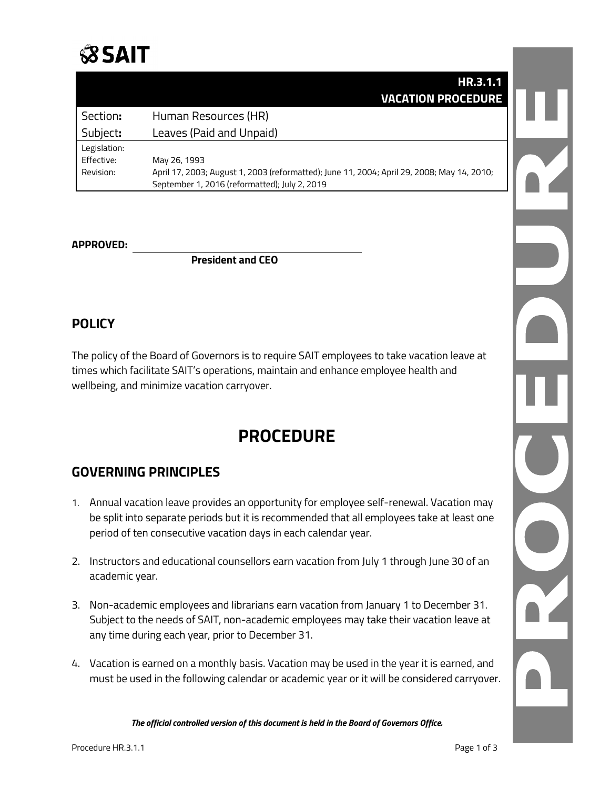

|              | HR.3.1.1                                                                                   |  |
|--------------|--------------------------------------------------------------------------------------------|--|
|              | <b>VACATION PROCEDURE</b>                                                                  |  |
| Section:     | Human Resources (HR)                                                                       |  |
| Subject:     | Leaves (Paid and Unpaid)                                                                   |  |
| Legislation: |                                                                                            |  |
| Effective:   | May 26, 1993                                                                               |  |
| Revision:    | April 17, 2003; August 1, 2003 (reformatted); June 11, 2004; April 29, 2008; May 14, 2010; |  |
|              | September 1, 2016 (reformatted); July 2, 2019                                              |  |

#### **APPROVED:**

**President and CEO**

### **POLICY**

The policy of the Board of Governors is to require SAIT employees to take vacation leave at times which facilitate SAIT's operations, maintain and enhance employee health and wellbeing, and minimize vacation carryover.

# **PROCEDURE**

## **GOVERNING PRINCIPLES**

- 1. Annual vacation leave provides an opportunity for employee self-renewal. Vacation may be split into separate periods but it is recommended that all employees take at least one period of ten consecutive vacation days in each calendar year.
- 2. Instructors and educational counsellors earn vacation from July 1 through June 30 of an academic year.
- 3. Non-academic employees and librarians earn vacation from January 1 to December 31. Subject to the needs of SAIT, non-academic employees may take their vacation leave at any time during each year, prior to December 31.
- 4. Vacation is earned on a monthly basis. Vacation may be used in the year it is earned, and must be used in the following calendar or academic year or it will be considered carryover.

*The official controlled version of this document is held in the Board of Governors Office.*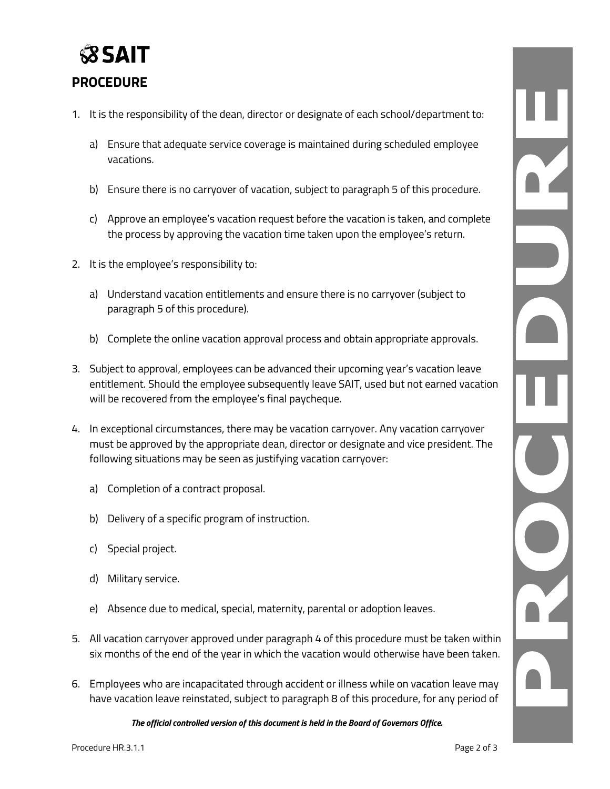

### **PROCEDURE**

- 1. It is the responsibility of the dean, director or designate of each school/department to:
	- a) Ensure that adequate service coverage is maintained during scheduled employee vacations.
	- b) Ensure there is no carryover of vacation, subject to paragraph 5 of this procedure.
	- c) Approve an employee's vacation request before the vacation is taken, and complete the process by approving the vacation time taken upon the employee's return.
- 2. It is the employee's responsibility to:
	- a) Understand vacation entitlements and ensure there is no carryover (subject to paragraph 5 of this procedure).
	- b) Complete the online vacation approval process and obtain appropriate approvals.
- 3. Subject to approval, employees can be advanced their upcoming year's vacation leave entitlement. Should the employee subsequently leave SAIT, used but not earned vacation will be recovered from the employee's final paycheque.
- 4. In exceptional circumstances, there may be vacation carryover. Any vacation carryover must be approved by the appropriate dean, director or designate and vice president. The following situations may be seen as justifying vacation carryover:
	- a) Completion of a contract proposal.
	- b) Delivery of a specific program of instruction.
	- c) Special project.
	- d) Military service.
	- e) Absence due to medical, special, maternity, parental or adoption leaves.
- 5. All vacation carryover approved under paragraph 4 of this procedure must be taken within six months of the end of the year in which the vacation would otherwise have been taken.
- 6. Employees who are incapacitated through accident or illness while on vacation leave may have vacation leave reinstated, subject to paragraph 8 of this procedure, for any period of

*The official controlled version of this document is held in the Board of Governors Office.*